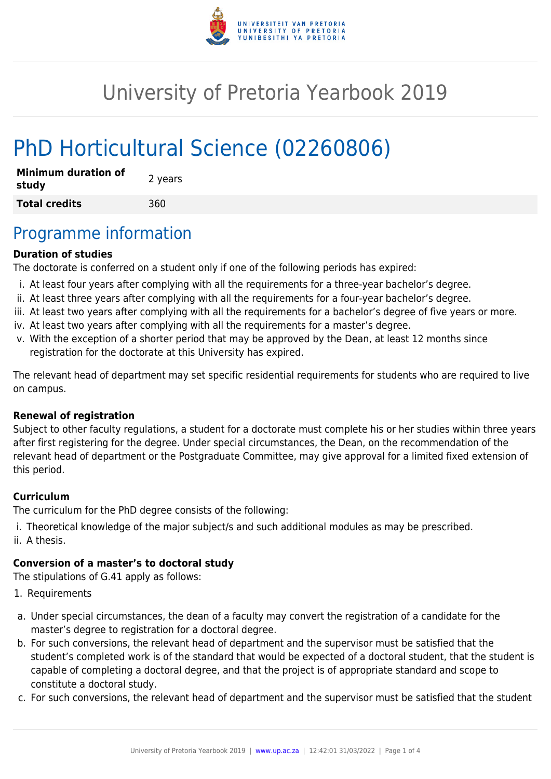

# University of Pretoria Yearbook 2019

# PhD Horticultural Science (02260806)

| <b>Minimum duration of</b><br>study | 2 years |
|-------------------------------------|---------|
| <b>Total credits</b>                | 360     |

### Programme information

#### **Duration of studies**

The doctorate is conferred on a student only if one of the following periods has expired:

- i. At least four years after complying with all the requirements for a three-year bachelor's degree.
- ii. At least three years after complying with all the requirements for a four-year bachelor's degree.
- iii. At least two years after complying with all the requirements for a bachelor's degree of five years or more.
- iv. At least two years after complying with all the requirements for a master's degree.
- v. With the exception of a shorter period that may be approved by the Dean, at least 12 months since registration for the doctorate at this University has expired.

The relevant head of department may set specific residential requirements for students who are required to live on campus.

#### **Renewal of registration**

Subject to other faculty regulations, a student for a doctorate must complete his or her studies within three years after first registering for the degree. Under special circumstances, the Dean, on the recommendation of the relevant head of department or the Postgraduate Committee, may give approval for a limited fixed extension of this period.

#### **Curriculum**

The curriculum for the PhD degree consists of the following:

- i. Theoretical knowledge of the major subject/s and such additional modules as may be prescribed.
- ii. A thesis.

#### **Conversion of a master's to doctoral study**

The stipulations of G.41 apply as follows:

- 1. Requirements
- a. Under special circumstances, the dean of a faculty may convert the registration of a candidate for the master's degree to registration for a doctoral degree.
- b. For such conversions, the relevant head of department and the supervisor must be satisfied that the student's completed work is of the standard that would be expected of a doctoral student, that the student is capable of completing a doctoral degree, and that the project is of appropriate standard and scope to constitute a doctoral study.
- c. For such conversions, the relevant head of department and the supervisor must be satisfied that the student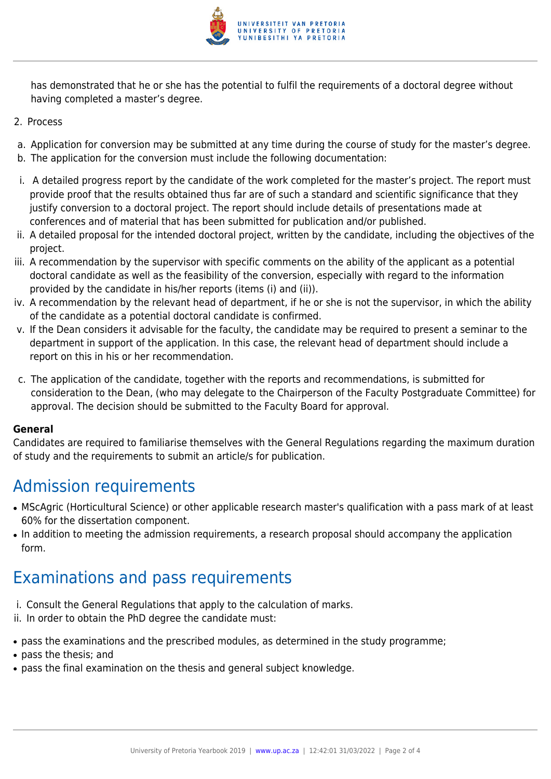

has demonstrated that he or she has the potential to fulfil the requirements of a doctoral degree without having completed a master's degree.

- 2. Process
- a. Application for conversion may be submitted at any time during the course of study for the master's degree.
- b. The application for the conversion must include the following documentation:
- i. A detailed progress report by the candidate of the work completed for the master's project. The report must provide proof that the results obtained thus far are of such a standard and scientific significance that they justify conversion to a doctoral project. The report should include details of presentations made at conferences and of material that has been submitted for publication and/or published.
- ii. A detailed proposal for the intended doctoral project, written by the candidate, including the objectives of the project.
- iii. A recommendation by the supervisor with specific comments on the ability of the applicant as a potential doctoral candidate as well as the feasibility of the conversion, especially with regard to the information provided by the candidate in his/her reports (items (i) and (ii)).
- iv. A recommendation by the relevant head of department, if he or she is not the supervisor, in which the ability of the candidate as a potential doctoral candidate is confirmed.
- v. If the Dean considers it advisable for the faculty, the candidate may be required to present a seminar to the department in support of the application. In this case, the relevant head of department should include a report on this in his or her recommendation.
- c. The application of the candidate, together with the reports and recommendations, is submitted for consideration to the Dean, (who may delegate to the Chairperson of the Faculty Postgraduate Committee) for approval. The decision should be submitted to the Faculty Board for approval.

#### **General**

Candidates are required to familiarise themselves with the General Regulations regarding the maximum duration of study and the requirements to submit an article/s for publication.

## Admission requirements

- MScAgric (Horticultural Science) or other applicable research master's qualification with a pass mark of at least 60% for the dissertation component.
- In addition to meeting the admission requirements, a research proposal should accompany the application form.

## Examinations and pass requirements

- i. Consult the General Regulations that apply to the calculation of marks.
- ii. In order to obtain the PhD degree the candidate must:
- pass the examinations and the prescribed modules, as determined in the study programme;
- pass the thesis; and
- pass the final examination on the thesis and general subject knowledge.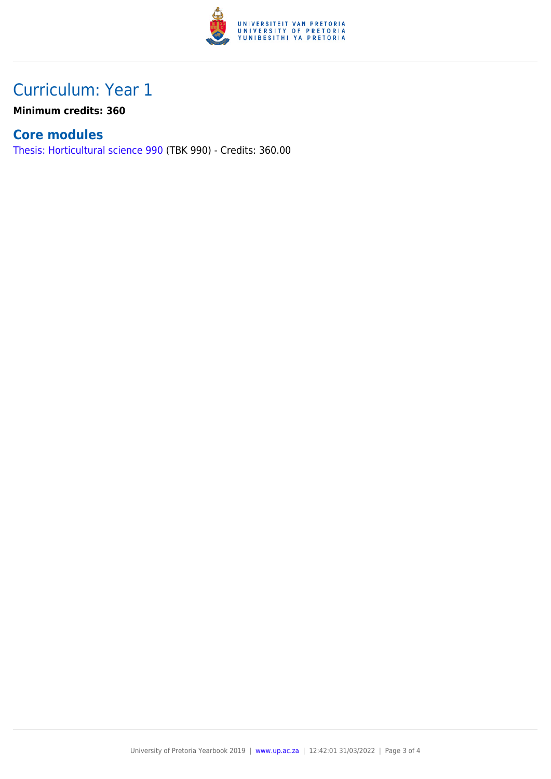

### Curriculum: Year 1

**Minimum credits: 360**

### **Core modules**

[Thesis: Horticultural science 990](https://www.up.ac.za/parents/yearbooks/2019/modules/view/TBK 990) (TBK 990) - Credits: 360.00